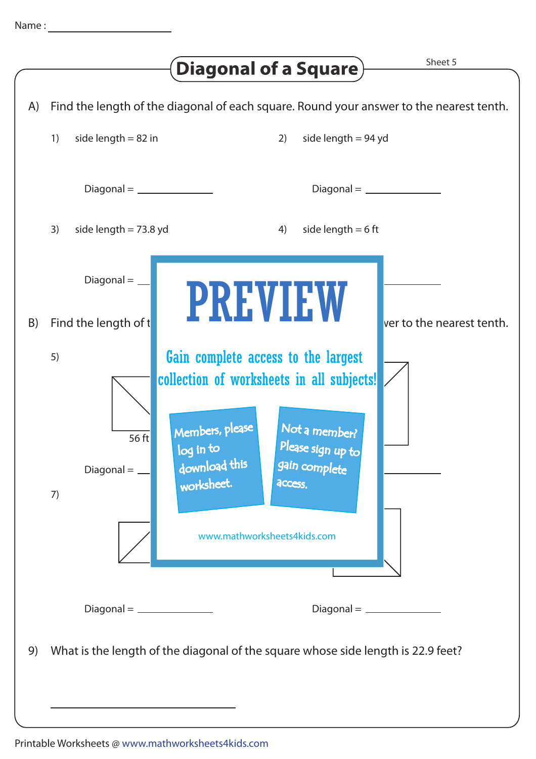